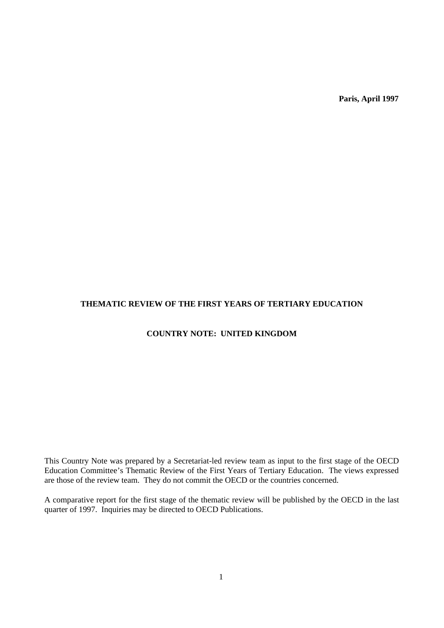**Paris, April 1997**

# **THEMATIC REVIEW OF THE FIRST YEARS OF TERTIARY EDUCATION**

# **COUNTRY NOTE: UNITED KINGDOM**

This Country Note was prepared by a Secretariat-led review team as input to the first stage of the OECD Education Committee's Thematic Review of the First Years of Tertiary Education. The views expressed are those of the review team. They do not commit the OECD or the countries concerned.

A comparative report for the first stage of the thematic review will be published by the OECD in the last quarter of 1997. Inquiries may be directed to OECD Publications.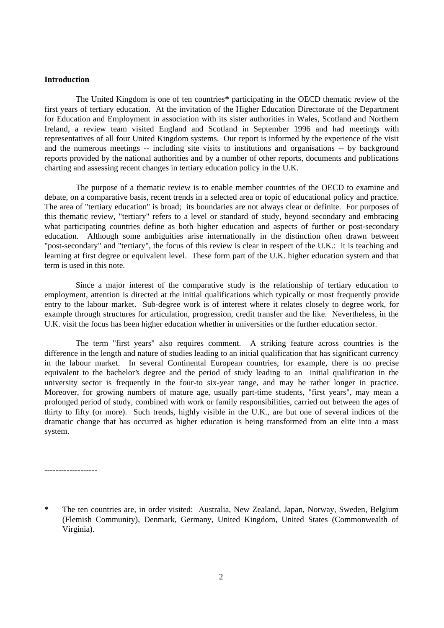## **Introduction**

The United Kingdom is one of ten countries**\*** participating in the OECD thematic review of the first years of tertiary education. At the invitation of the Higher Education Directorate of the Department for Education and Employment in association with its sister authorities in Wales, Scotland and Northern Ireland, a review team visited England and Scotland in September 1996 and had meetings with representatives of all four United Kingdom systems. Our report is informed by the experience of the visit and the numerous meetings -- including site visits to institutions and organisations -- by background reports provided by the national authorities and by a number of other reports, documents and publications charting and assessing recent changes in tertiary education policy in the U.K.

The purpose of a thematic review is to enable member countries of the OECD to examine and debate, on a comparative basis, recent trends in a selected area or topic of educational policy and practice. The area of "tertiary education" is broad; its boundaries are not always clear or definite. For purposes of this thematic review, "tertiary" refers to a level or standard of study, beyond secondary and embracing what participating countries define as both higher education and aspects of further or post-secondary education. Although some ambiguities arise internationally in the distinction often drawn between "post-secondary" and "tertiary", the focus of this review is clear in respect of the U.K.: it is teaching and learning at first degree or equivalent level. These form part of the U.K. higher education system and that term is used in this note.

Since a major interest of the comparative study is the relationship of tertiary education to employment, attention is directed at the initial qualifications which typically or most frequently provide entry to the labour market. Sub-degree work is of interest where it relates closely to degree work, for example through structures for articulation, progression, credit transfer and the like. Nevertheless, in the U.K. visit the focus has been higher education whether in universities or the further education sector.

The term "first years" also requires comment. A striking feature across countries is the difference in the length and nature of studies leading to an initial qualification that has significant currency in the labour market. In several Continental European countries, for example, there is no precise equivalent to the bachelor's degree and the period of study leading to an initial qualification in the university sector is frequently in the four-to six-year range, and may be rather longer in practice. Moreover, for growing numbers of mature age, usually part-time students, "first years", may mean a prolonged period of study, combined with work or family responsibilities, carried out between the ages of thirty to fifty (or more). Such trends, highly visible in the U.K., are but one of several indices of the dramatic change that has occurred as higher education is being transformed from an elite into a mass system.

-------------------

**<sup>\*</sup>** The ten countries are, in order visited: Australia, New Zealand, Japan, Norway, Sweden, Belgium (Flemish Community), Denmark, Germany, United Kingdom, United States (Commonwealth of Virginia).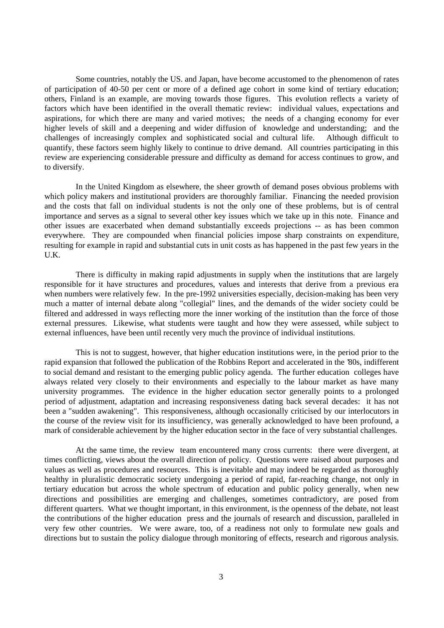Some countries, notably the US. and Japan, have become accustomed to the phenomenon of rates of participation of 40-50 per cent or more of a defined age cohort in some kind of tertiary education; others, Finland is an example, are moving towards those figures. This evolution reflects a variety of factors which have been identified in the overall thematic review: individual values, expectations and aspirations, for which there are many and varied motives; the needs of a changing economy for ever higher levels of skill and a deepening and wider diffusion of knowledge and understanding; and the challenges of increasingly complex and sophisticated social and cultural life. Although difficult to quantify, these factors seem highly likely to continue to drive demand. All countries participating in this review are experiencing considerable pressure and difficulty as demand for access continues to grow, and to diversify.

In the United Kingdom as elsewhere, the sheer growth of demand poses obvious problems with which policy makers and institutional providers are thoroughly familiar. Financing the needed provision and the costs that fall on individual students is not the only one of these problems, but is of central importance and serves as a signal to several other key issues which we take up in this note. Finance and other issues are exacerbated when demand substantially exceeds projections -- as has been common everywhere. They are compounded when financial policies impose sharp constraints on expenditure, resulting for example in rapid and substantial cuts in unit costs as has happened in the past few years in the U.K.

There is difficulty in making rapid adjustments in supply when the institutions that are largely responsible for it have structures and procedures, values and interests that derive from a previous era when numbers were relatively few. In the pre-1992 universities especially, decision-making has been very much a matter of internal debate along "collegial" lines, and the demands of the wider society could be filtered and addressed in ways reflecting more the inner working of the institution than the force of those external pressures. Likewise, what students were taught and how they were assessed, while subject to external influences, have been until recently very much the province of individual institutions.

This is not to suggest, however, that higher education institutions were, in the period prior to the rapid expansion that followed the publication of the Robbins Report and accelerated in the '80s, indifferent to social demand and resistant to the emerging public policy agenda. The further education colleges have always related very closely to their environments and especially to the labour market as have many university programmes. The evidence in the higher education sector generally points to a prolonged period of adjustment, adaptation and increasing responsiveness dating back several decades: it has not been a "sudden awakening". This responsiveness, although occasionally criticised by our interlocutors in the course of the review visit for its insufficiency, was generally acknowledged to have been profound, a mark of considerable achievement by the higher education sector in the face of very substantial challenges.

At the same time, the review team encountered many cross currents: there were divergent, at times conflicting, views about the overall direction of policy. Questions were raised about purposes and values as well as procedures and resources. This is inevitable and may indeed be regarded as thoroughly healthy in pluralistic democratic society undergoing a period of rapid, far-reaching change, not only in tertiary education but across the whole spectrum of education and public policy generally, when new directions and possibilities are emerging and challenges, sometimes contradictory, are posed from different quarters. What we thought important, in this environment, is the openness of the debate, not least the contributions of the higher education press and the journals of research and discussion, paralleled in very few other countries. We were aware, too, of a readiness not only to formulate new goals and directions but to sustain the policy dialogue through monitoring of effects, research and rigorous analysis.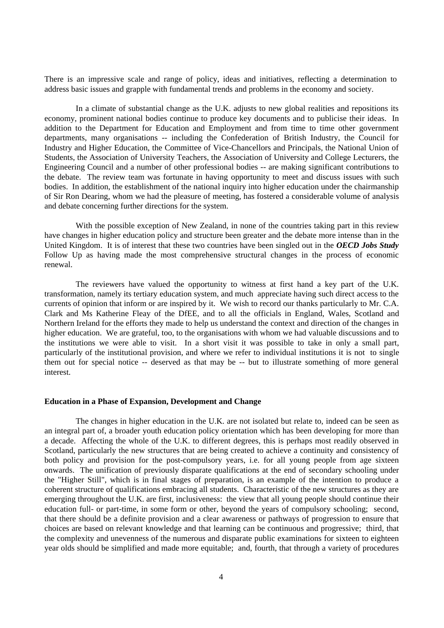There is an impressive scale and range of policy, ideas and initiatives, reflecting a determination to address basic issues and grapple with fundamental trends and problems in the economy and society.

In a climate of substantial change as the U.K. adjusts to new global realities and repositions its economy, prominent national bodies continue to produce key documents and to publicise their ideas. In addition to the Department for Education and Employment and from time to time other government departments, many organisations -- including the Confederation of British Industry, the Council for Industry and Higher Education, the Committee of Vice-Chancellors and Principals, the National Union of Students, the Association of University Teachers, the Association of University and College Lecturers, the Engineering Council and a number of other professional bodies -- are making significant contributions to the debate. The review team was fortunate in having opportunity to meet and discuss issues with such bodies. In addition, the establishment of the national inquiry into higher education under the chairmanship of Sir Ron Dearing, whom we had the pleasure of meeting, has fostered a considerable volume of analysis and debate concerning further directions for the system.

With the possible exception of New Zealand, in none of the countries taking part in this review have changes in higher education policy and structure been greater and the debate more intense than in the United Kingdom. It is of interest that these two countries have been singled out in the *OECD Jobs Study* Follow Up as having made the most comprehensive structural changes in the process of economic renewal.

The reviewers have valued the opportunity to witness at first hand a key part of the U.K. transformation, namely its tertiary education system, and much appreciate having such direct access to the currents of opinion that inform or are inspired by it. We wish to record our thanks particularly to Mr. C.A. Clark and Ms Katherine Fleay of the DfEE, and to all the officials in England, Wales, Scotland and Northern Ireland for the efforts they made to help us understand the context and direction of the changes in higher education. We are grateful, too, to the organisations with whom we had valuable discussions and to the institutions we were able to visit. In a short visit it was possible to take in only a small part, particularly of the institutional provision, and where we refer to individual institutions it is not to single them out for special notice -- deserved as that may be -- but to illustrate something of more general interest.

## **Education in a Phase of Expansion, Development and Change**

The changes in higher education in the U.K. are not isolated but relate to, indeed can be seen as an integral part of, a broader youth education policy orientation which has been developing for more than a decade. Affecting the whole of the U.K. to different degrees, this is perhaps most readily observed in Scotland, particularly the new structures that are being created to achieve a continuity and consistency of both policy and provision for the post-compulsory years, i.e. for all young people from age sixteen onwards. The unification of previously disparate qualifications at the end of secondary schooling under the "Higher Still", which is in final stages of preparation, is an example of the intention to produce a coherent structure of qualifications embracing all students. Characteristic of the new structures as they are emerging throughout the U.K. are first, inclusiveness: the view that all young people should continue their education full- or part-time, in some form or other, beyond the years of compulsory schooling; second, that there should be a definite provision and a clear awareness or pathways of progression to ensure that choices are based on relevant knowledge and that learning can be continuous and progressive; third, that the complexity and unevenness of the numerous and disparate public examinations for sixteen to eighteen year olds should be simplified and made more equitable; and, fourth, that through a variety of procedures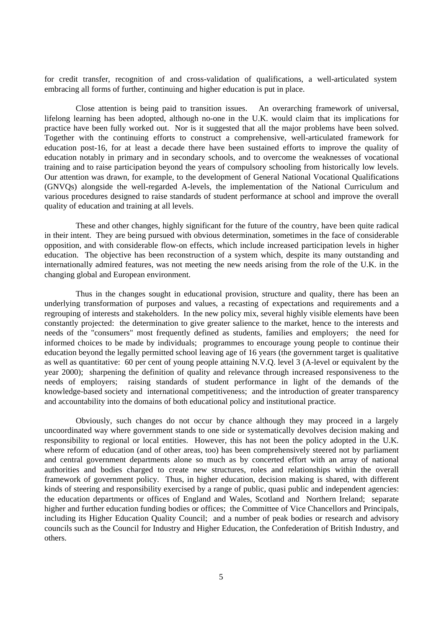for credit transfer, recognition of and cross-validation of qualifications, a well-articulated system embracing all forms of further, continuing and higher education is put in place.

Close attention is being paid to transition issues. An overarching framework of universal, lifelong learning has been adopted, although no-one in the U.K. would claim that its implications for practice have been fully worked out. Nor is it suggested that all the major problems have been solved. Together with the continuing efforts to construct a comprehensive, well-articulated framework for education post-16, for at least a decade there have been sustained efforts to improve the quality of education notably in primary and in secondary schools, and to overcome the weaknesses of vocational training and to raise participation beyond the years of compulsory schooling from historically low levels. Our attention was drawn, for example, to the development of General National Vocational Qualifications (GNVQs) alongside the well-regarded A-levels, the implementation of the National Curriculum and various procedures designed to raise standards of student performance at school and improve the overall quality of education and training at all levels.

These and other changes, highly significant for the future of the country, have been quite radical in their intent. They are being pursued with obvious determination, sometimes in the face of considerable opposition, and with considerable flow-on effects, which include increased participation levels in higher education. The objective has been reconstruction of a system which, despite its many outstanding and internationally admired features, was not meeting the new needs arising from the role of the U.K. in the changing global and European environment.

Thus in the changes sought in educational provision, structure and quality, there has been an underlying transformation of purposes and values, a recasting of expectations and requirements and a regrouping of interests and stakeholders. In the new policy mix, several highly visible elements have been constantly projected: the determination to give greater salience to the market, hence to the interests and needs of the "consumers" most frequently defined as students, families and employers; the need for informed choices to be made by individuals; programmes to encourage young people to continue their education beyond the legally permitted school leaving age of 16 years (the government target is qualitative as well as quantitative: 60 per cent of young people attaining N.V.Q. level 3 (A-level or equivalent by the year 2000); sharpening the definition of quality and relevance through increased responsiveness to the needs of employers; raising standards of student performance in light of the demands of the knowledge-based society and international competitiveness; and the introduction of greater transparency and accountability into the domains of both educational policy and institutional practice.

Obviously, such changes do not occur by chance although they may proceed in a largely uncoordinated way where government stands to one side or systematically devolves decision making and responsibility to regional or local entities. However, this has not been the policy adopted in the U.K. where reform of education (and of other areas, too) has been comprehensively steered not by parliament and central government departments alone so much as by concerted effort with an array of national authorities and bodies charged to create new structures, roles and relationships within the overall framework of government policy. Thus, in higher education, decision making is shared, with different kinds of steering and responsibility exercised by a range of public, quasi public and independent agencies: the education departments or offices of England and Wales, Scotland and Northern Ireland; separate higher and further education funding bodies or offices; the Committee of Vice Chancellors and Principals, including its Higher Education Quality Council; and a number of peak bodies or research and advisory councils such as the Council for Industry and Higher Education, the Confederation of British Industry, and others.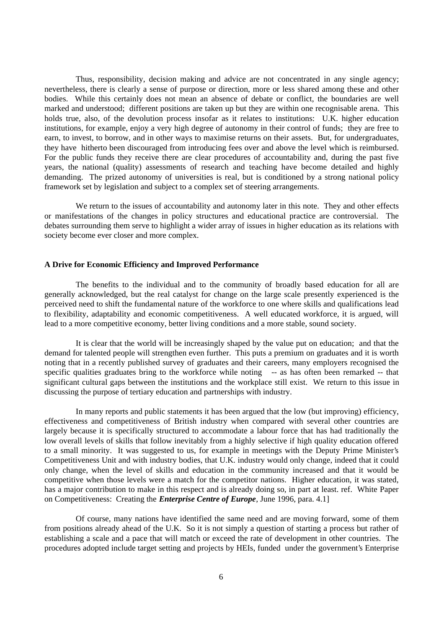Thus, responsibility, decision making and advice are not concentrated in any single agency; nevertheless, there is clearly a sense of purpose or direction, more or less shared among these and other bodies. While this certainly does not mean an absence of debate or conflict, the boundaries are well marked and understood; different positions are taken up but they are within one recognisable arena. This holds true, also, of the devolution process insofar as it relates to institutions: U.K. higher education institutions, for example, enjoy a very high degree of autonomy in their control of funds; they are free to earn, to invest, to borrow, and in other ways to maximise returns on their assets. But, for undergraduates, they have hitherto been discouraged from introducing fees over and above the level which is reimbursed. For the public funds they receive there are clear procedures of accountability and, during the past five years, the national (quality) assessments of research and teaching have become detailed and highly demanding. The prized autonomy of universities is real, but is conditioned by a strong national policy framework set by legislation and subject to a complex set of steering arrangements.

We return to the issues of accountability and autonomy later in this note. They and other effects or manifestations of the changes in policy structures and educational practice are controversial. The debates surrounding them serve to highlight a wider array of issues in higher education as its relations with society become ever closer and more complex.

## **A Drive for Economic Efficiency and Improved Performance**

The benefits to the individual and to the community of broadly based education for all are generally acknowledged, but the real catalyst for change on the large scale presently experienced is the perceived need to shift the fundamental nature of the workforce to one where skills and qualifications lead to flexibility, adaptability and economic competitiveness. A well educated workforce, it is argued, will lead to a more competitive economy, better living conditions and a more stable, sound society.

It is clear that the world will be increasingly shaped by the value put on education; and that the demand for talented people will strengthen even further. This puts a premium on graduates and it is worth noting that in a recently published survey of graduates and their careers, many employers recognised the specific qualities graduates bring to the workforce while noting -- as has often been remarked -- that significant cultural gaps between the institutions and the workplace still exist. We return to this issue in discussing the purpose of tertiary education and partnerships with industry.

In many reports and public statements it has been argued that the low (but improving) efficiency, effectiveness and competitiveness of British industry when compared with several other countries are largely because it is specifically structured to accommodate a labour force that has had traditionally the low overall levels of skills that follow inevitably from a highly selective if high quality education offered to a small minority. It was suggested to us, for example in meetings with the Deputy Prime Minister's Competitiveness Unit and with industry bodies, that U.K. industry would only change, indeed that it could only change, when the level of skills and education in the community increased and that it would be competitive when those levels were a match for the competitor nations. Higher education, it was stated, has a major contribution to make in this respect and is already doing so, in part at least. ref. White Paper on Competitiveness: Creating the *Enterprise Centre of Europe*, June 1996, para. 4.1]

Of course, many nations have identified the same need and are moving forward, some of them from positions already ahead of the U.K. So it is not simply a question of starting a process but rather of establishing a scale and a pace that will match or exceed the rate of development in other countries. The procedures adopted include target setting and projects by HEIs, funded under the government's Enterprise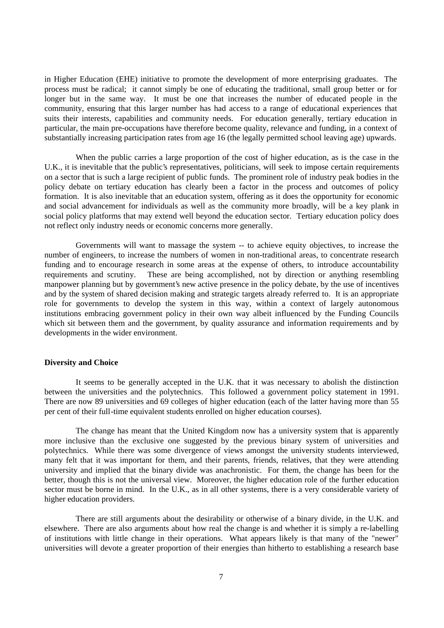in Higher Education (EHE) initiative to promote the development of more enterprising graduates. The process must be radical; it cannot simply be one of educating the traditional, small group better or for longer but in the same way. It must be one that increases the number of educated people in the community, ensuring that this larger number has had access to a range of educational experiences that suits their interests, capabilities and community needs. For education generally, tertiary education in particular, the main pre-occupations have therefore become quality, relevance and funding, in a context of substantially increasing participation rates from age 16 (the legally permitted school leaving age) upwards.

When the public carries a large proportion of the cost of higher education, as is the case in the U.K., it is inevitable that the public's representatives, politicians, will seek to impose certain requirements on a sector that is such a large recipient of public funds. The prominent role of industry peak bodies in the policy debate on tertiary education has clearly been a factor in the process and outcomes of policy formation. It is also inevitable that an education system, offering as it does the opportunity for economic and social advancement for individuals as well as the community more broadly, will be a key plank in social policy platforms that may extend well beyond the education sector. Tertiary education policy does not reflect only industry needs or economic concerns more generally.

Governments will want to massage the system -- to achieve equity objectives, to increase the number of engineers, to increase the numbers of women in non-traditional areas, to concentrate research funding and to encourage research in some areas at the expense of others, to introduce accountability requirements and scrutiny. These are being accomplished, not by direction or anything resembling manpower planning but by government's new active presence in the policy debate, by the use of incentives and by the system of shared decision making and strategic targets already referred to. It is an appropriate role for governments to develop the system in this way, within a context of largely autonomous institutions embracing government policy in their own way albeit influenced by the Funding Councils which sit between them and the government, by quality assurance and information requirements and by developments in the wider environment.

## **Diversity and Choice**

It seems to be generally accepted in the U.K. that it was necessary to abolish the distinction between the universities and the polytechnics. This followed a government policy statement in 1991. There are now 89 universities and 69 colleges of higher education (each of the latter having more than 55 per cent of their full-time equivalent students enrolled on higher education courses).

The change has meant that the United Kingdom now has a university system that is apparently more inclusive than the exclusive one suggested by the previous binary system of universities and polytechnics. While there was some divergence of views amongst the university students interviewed, many felt that it was important for them, and their parents, friends, relatives, that they were attending university and implied that the binary divide was anachronistic. For them, the change has been for the better, though this is not the universal view. Moreover, the higher education role of the further education sector must be borne in mind. In the U.K., as in all other systems, there is a very considerable variety of higher education providers.

There are still arguments about the desirability or otherwise of a binary divide, in the U.K. and elsewhere. There are also arguments about how real the change is and whether it is simply a re-labelling of institutions with little change in their operations. What appears likely is that many of the "newer" universities will devote a greater proportion of their energies than hitherto to establishing a research base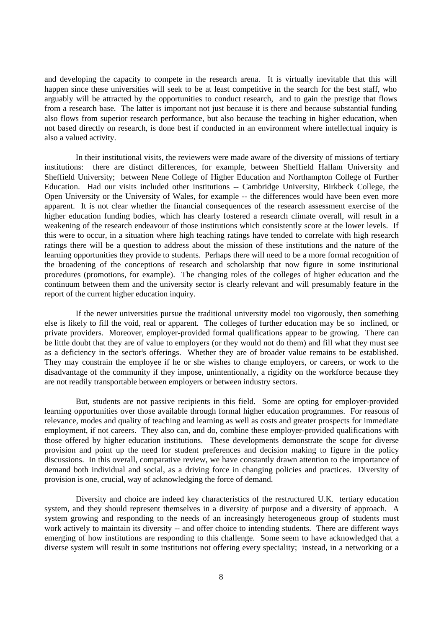and developing the capacity to compete in the research arena. It is virtually inevitable that this will happen since these universities will seek to be at least competitive in the search for the best staff, who arguably will be attracted by the opportunities to conduct research, and to gain the prestige that flows from a research base. The latter is important not just because it is there and because substantial funding also flows from superior research performance, but also because the teaching in higher education, when not based directly on research, is done best if conducted in an environment where intellectual inquiry is also a valued activity.

In their institutional visits, the reviewers were made aware of the diversity of missions of tertiary institutions: there are distinct differences, for example, between Sheffield Hallam University and Sheffield University; between Nene College of Higher Education and Northampton College of Further Education. Had our visits included other institutions -- Cambridge University, Birkbeck College, the Open University or the University of Wales, for example -- the differences would have been even more apparent. It is not clear whether the financial consequences of the research assessment exercise of the higher education funding bodies, which has clearly fostered a research climate overall, will result in a weakening of the research endeavour of those institutions which consistently score at the lower levels. If this were to occur, in a situation where high teaching ratings have tended to correlate with high research ratings there will be a question to address about the mission of these institutions and the nature of the learning opportunities they provide to students. Perhaps there will need to be a more formal recognition of the broadening of the conceptions of research and scholarship that now figure in some institutional procedures (promotions, for example). The changing roles of the colleges of higher education and the continuum between them and the university sector is clearly relevant and will presumably feature in the report of the current higher education inquiry.

If the newer universities pursue the traditional university model too vigorously, then something else is likely to fill the void, real or apparent. The colleges of further education may be so inclined, or private providers. Moreover, employer-provided formal qualifications appear to be growing. There can be little doubt that they are of value to employers (or they would not do them) and fill what they must see as a deficiency in the sector's offerings. Whether they are of broader value remains to be established. They may constrain the employee if he or she wishes to change employers, or careers, or work to the disadvantage of the community if they impose, unintentionally, a rigidity on the workforce because they are not readily transportable between employers or between industry sectors.

But, students are not passive recipients in this field. Some are opting for employer-provided learning opportunities over those available through formal higher education programmes. For reasons of relevance, modes and quality of teaching and learning as well as costs and greater prospects for immediate employment, if not careers. They also can, and do, combine these employer-provided qualifications with those offered by higher education institutions. These developments demonstrate the scope for diverse provision and point up the need for student preferences and decision making to figure in the policy discussions. In this overall, comparative review, we have constantly drawn attention to the importance of demand both individual and social, as a driving force in changing policies and practices. Diversity of provision is one, crucial, way of acknowledging the force of demand.

Diversity and choice are indeed key characteristics of the restructured U.K. tertiary education system, and they should represent themselves in a diversity of purpose and a diversity of approach. A system growing and responding to the needs of an increasingly heterogeneous group of students must work actively to maintain its diversity -- and offer choice to intending students. There are different ways emerging of how institutions are responding to this challenge. Some seem to have acknowledged that a diverse system will result in some institutions not offering every speciality; instead, in a networking or a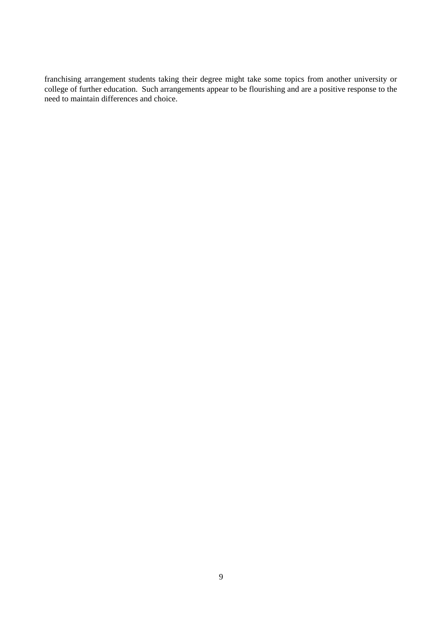franchising arrangement students taking their degree might take some topics from another university or college of further education. Such arrangements appear to be flourishing and are a positive response to the need to maintain differences and choice.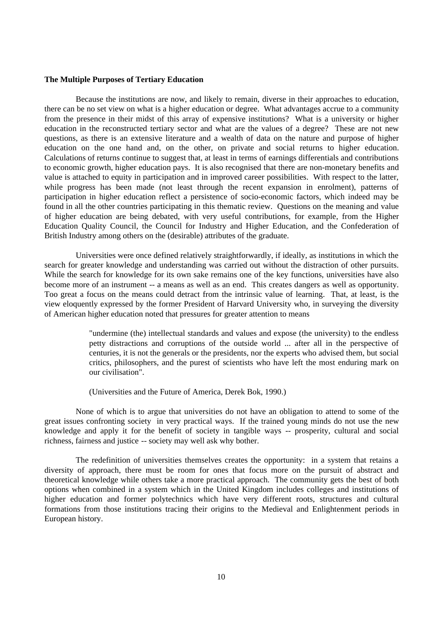## **The Multiple Purposes of Tertiary Education**

Because the institutions are now, and likely to remain, diverse in their approaches to education, there can be no set view on what is a higher education or degree. What advantages accrue to a community from the presence in their midst of this array of expensive institutions? What is a university or higher education in the reconstructed tertiary sector and what are the values of a degree? These are not new questions, as there is an extensive literature and a wealth of data on the nature and purpose of higher education on the one hand and, on the other, on private and social returns to higher education. Calculations of returns continue to suggest that, at least in terms of earnings differentials and contributions to economic growth, higher education pays. It is also recognised that there are non-monetary benefits and value is attached to equity in participation and in improved career possibilities. With respect to the latter, while progress has been made (not least through the recent expansion in enrolment), patterns of participation in higher education reflect a persistence of socio-economic factors, which indeed may be found in all the other countries participating in this thematic review. Questions on the meaning and value of higher education are being debated, with very useful contributions, for example, from the Higher Education Quality Council, the Council for Industry and Higher Education, and the Confederation of British Industry among others on the (desirable) attributes of the graduate.

Universities were once defined relatively straightforwardly, if ideally, as institutions in which the search for greater knowledge and understanding was carried out without the distraction of other pursuits. While the search for knowledge for its own sake remains one of the key functions, universities have also become more of an instrument -- a means as well as an end. This creates dangers as well as opportunity. Too great a focus on the means could detract from the intrinsic value of learning. That, at least, is the view eloquently expressed by the former President of Harvard University who, in surveying the diversity of American higher education noted that pressures for greater attention to means

> "undermine (the) intellectual standards and values and expose (the university) to the endless petty distractions and corruptions of the outside world ... after all in the perspective of centuries, it is not the generals or the presidents, nor the experts who advised them, but social critics, philosophers, and the purest of scientists who have left the most enduring mark on our civilisation".

(Universities and the Future of America, Derek Bok, 1990.)

None of which is to argue that universities do not have an obligation to attend to some of the great issues confronting society in very practical ways. If the trained young minds do not use the new knowledge and apply it for the benefit of society in tangible ways -- prosperity, cultural and social richness, fairness and justice -- society may well ask why bother.

The redefinition of universities themselves creates the opportunity: in a system that retains a diversity of approach, there must be room for ones that focus more on the pursuit of abstract and theoretical knowledge while others take a more practical approach. The community gets the best of both options when combined in a system which in the United Kingdom includes colleges and institutions of higher education and former polytechnics which have very different roots, structures and cultural formations from those institutions tracing their origins to the Medieval and Enlightenment periods in European history.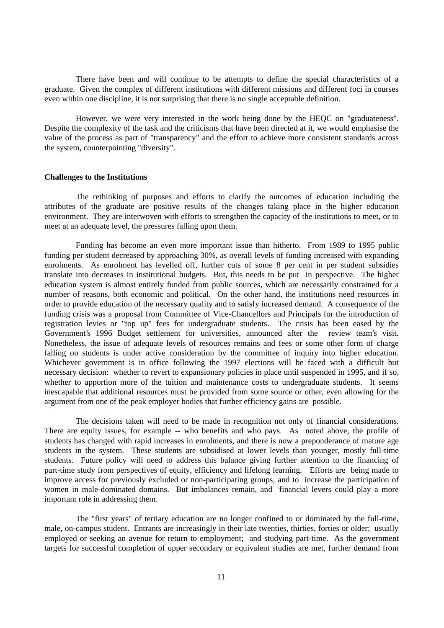There have been and will continue to be attempts to define the special characteristics of a graduate. Given the complex of different institutions with different missions and different foci in courses even within one discipline, it is not surprising that there is no single acceptable definition.

However, we were very interested in the work being done by the HEQC on "graduateness". Despite the complexity of the task and the criticisms that have been directed at it, we would emphasise the value of the process as part of "transparency" and the effort to achieve more consistent standards across the system, counterpointing "diversity".

#### **Challenges to the Institutions**

The rethinking of purposes and efforts to clarify the outcomes of education including the attributes of the graduate are positive results of the changes taking place in the higher education environment. They are interwoven with efforts to strengthen the capacity of the institutions to meet, or to meet at an adequate level, the pressures falling upon them.

Funding has become an even more important issue than hitherto. From 1989 to 1995 public funding per student decreased by approaching 30%, as overall levels of funding increased with expanding enrolments. As enrolment has levelled off, further cuts of some 8 per cent in per student subsidies translate into decreases in institutional budgets. But, this needs to be put in perspective. The higher education system is almost entirely funded from public sources, which are necessarily constrained for a number of reasons, both economic and political. On the other hand, the institutions need resources in order to provide education of the necessary quality and to satisfy increased demand. A consequence of the funding crisis was a proposal from Committee of Vice-Chancellors and Principals for the introduction of registration levies or "top up" fees for undergraduate students. The crisis has been eased by the Government's 1996 Budget settlement for universities, announced after the review team's visit. Nonetheless, the issue of adequate levels of resources remains and fees or some other form of charge falling on students is under active consideration by the committee of inquiry into higher education. Whichever government is in office following the 1997 elections will be faced with a difficult but necessary decision: whether to revert to expansionary policies in place until suspended in 1995, and if so, whether to apportion more of the tuition and maintenance costs to undergraduate students. It seems inescapable that additional resources must be provided from some source or other, even allowing for the argument from one of the peak employer bodies that further efficiency gains are possible.

The decisions taken will need to be made in recognition not only of financial considerations. There are equity issues, for example -- who benefits and who pays. As noted above, the profile of students has changed with rapid increases in enrolments, and there is now a preponderance of mature age students in the system. These students are subsidised at lower levels than younger, mostly full-time students. Future policy will need to address this balance giving further attention to the financing of part-time study from perspectives of equity, efficiency and lifelong learning. Efforts are being made to improve access for previously excluded or non-participating groups, and to increase the participation of women in male-dominated domains. But imbalances remain, and financial levers could play a more important role in addressing them.

The "first years" of tertiary education are no longer confined to or dominated by the full-time, male, on-campus student. Entrants are increasingly in their late twenties, thirties, forties or older; usually employed or seeking an avenue for return to employment; and studying part-time. As the government targets for successful completion of upper secondary or equivalent studies are met, further demand from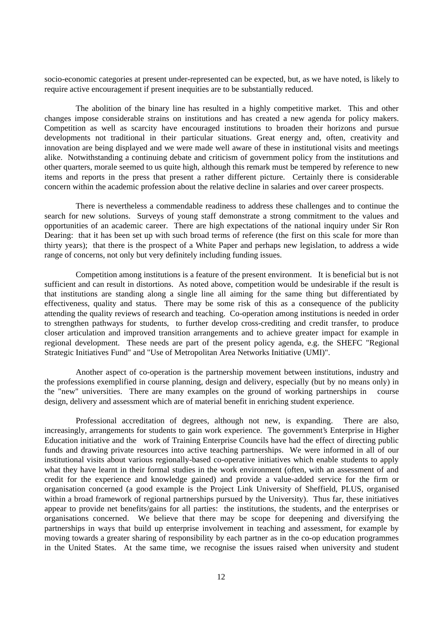socio-economic categories at present under-represented can be expected, but, as we have noted, is likely to require active encouragement if present inequities are to be substantially reduced.

The abolition of the binary line has resulted in a highly competitive market. This and other changes impose considerable strains on institutions and has created a new agenda for policy makers. Competition as well as scarcity have encouraged institutions to broaden their horizons and pursue developments not traditional in their particular situations. Great energy and, often, creativity and innovation are being displayed and we were made well aware of these in institutional visits and meetings alike. Notwithstanding a continuing debate and criticism of government policy from the institutions and other quarters, morale seemed to us quite high, although this remark must be tempered by reference to new items and reports in the press that present a rather different picture. Certainly there is considerable concern within the academic profession about the relative decline in salaries and over career prospects.

There is nevertheless a commendable readiness to address these challenges and to continue the search for new solutions. Surveys of young staff demonstrate a strong commitment to the values and opportunities of an academic career. There are high expectations of the national inquiry under Sir Ron Dearing: that it has been set up with such broad terms of reference (the first on this scale for more than thirty years); that there is the prospect of a White Paper and perhaps new legislation, to address a wide range of concerns, not only but very definitely including funding issues.

Competition among institutions is a feature of the present environment. It is beneficial but is not sufficient and can result in distortions. As noted above, competition would be undesirable if the result is that institutions are standing along a single line all aiming for the same thing but differentiated by effectiveness, quality and status. There may be some risk of this as a consequence of the publicity attending the quality reviews of research and teaching. Co-operation among institutions is needed in order to strengthen pathways for students, to further develop cross-crediting and credit transfer, to produce closer articulation and improved transition arrangements and to achieve greater impact for example in regional development. These needs are part of the present policy agenda, e.g. the SHEFC "Regional Strategic Initiatives Fund" and "Use of Metropolitan Area Networks Initiative (UMI)".

Another aspect of co-operation is the partnership movement between institutions, industry and the professions exemplified in course planning, design and delivery, especially (but by no means only) in the "new" universities. There are many examples on the ground of working partnerships in course design, delivery and assessment which are of material benefit in enriching student experience.

Professional accreditation of degrees, although not new, is expanding. There are also, increasingly, arrangements for students to gain work experience. The government's Enterprise in Higher Education initiative and the work of Training Enterprise Councils have had the effect of directing public funds and drawing private resources into active teaching partnerships. We were informed in all of our institutional visits about various regionally-based co-operative initiatives which enable students to apply what they have learnt in their formal studies in the work environment (often, with an assessment of and credit for the experience and knowledge gained) and provide a value-added service for the firm or organisation concerned (a good example is the Project Link University of Sheffield, PLUS, organised within a broad framework of regional partnerships pursued by the University). Thus far, these initiatives appear to provide net benefits/gains for all parties: the institutions, the students, and the enterprises or organisations concerned. We believe that there may be scope for deepening and diversifying the partnerships in ways that build up enterprise involvement in teaching and assessment, for example by moving towards a greater sharing of responsibility by each partner as in the co-op education programmes in the United States. At the same time, we recognise the issues raised when university and student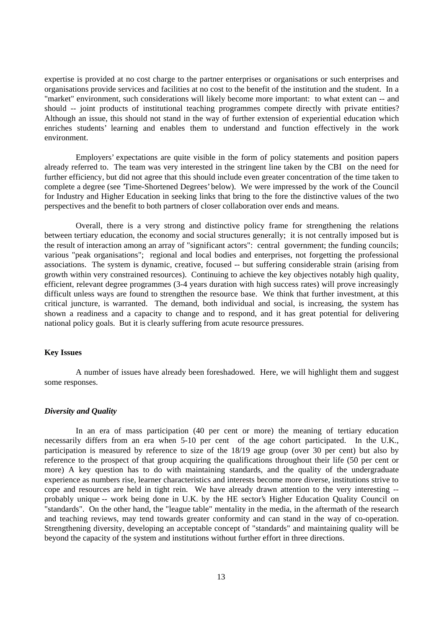expertise is provided at no cost charge to the partner enterprises or organisations or such enterprises and organisations provide services and facilities at no cost to the benefit of the institution and the student. In a "market" environment, such considerations will likely become more important: to what extent can -- and should -- joint products of institutional teaching programmes compete directly with private entities? Although an issue, this should not stand in the way of further extension of experiential education which enriches students' learning and enables them to understand and function effectively in the work environment.

Employers' expectations are quite visible in the form of policy statements and position papers already referred to. The team was very interested in the stringent line taken by the CBI on the need for further efficiency, but did not agree that this should include even greater concentration of the time taken to complete a degree (see 'Time-Shortened Degrees' below). We were impressed by the work of the Council for Industry and Higher Education in seeking links that bring to the fore the distinctive values of the two perspectives and the benefit to both partners of closer collaboration over ends and means.

Overall, there is a very strong and distinctive policy frame for strengthening the relations between tertiary education, the economy and social structures generally; it is not centrally imposed but is the result of interaction among an array of "significant actors": central government; the funding councils; various "peak organisations"; regional and local bodies and enterprises, not forgetting the professional associations. The system is dynamic, creative, focused -- but suffering considerable strain (arising from growth within very constrained resources). Continuing to achieve the key objectives notably high quality, efficient, relevant degree programmes (3-4 years duration with high success rates) will prove increasingly difficult unless ways are found to strengthen the resource base. We think that further investment, at this critical juncture, is warranted. The demand, both individual and social, is increasing, the system has shown a readiness and a capacity to change and to respond, and it has great potential for delivering national policy goals. But it is clearly suffering from acute resource pressures.

## **Key Issues**

A number of issues have already been foreshadowed. Here, we will highlight them and suggest some responses.

#### *Diversity and Quality*

In an era of mass participation (40 per cent or more) the meaning of tertiary education necessarily differs from an era when 5-10 per cent of the age cohort participated. In the U.K., participation is measured by reference to size of the 18/19 age group (over 30 per cent) but also by reference to the prospect of that group acquiring the qualifications throughout their life (50 per cent or more) A key question has to do with maintaining standards, and the quality of the undergraduate experience as numbers rise, learner characteristics and interests become more diverse, institutions strive to cope and resources are held in tight rein. We have already drawn attention to the very interesting - probably unique -- work being done in U.K. by the HE sector's Higher Education Quality Council on "standards". On the other hand, the "league table" mentality in the media, in the aftermath of the research and teaching reviews, may tend towards greater conformity and can stand in the way of co-operation. Strengthening diversity, developing an acceptable concept of "standards" and maintaining quality will be beyond the capacity of the system and institutions without further effort in three directions.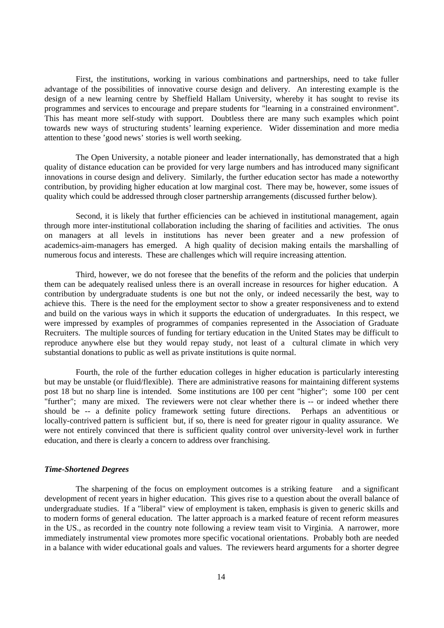First, the institutions, working in various combinations and partnerships, need to take fuller advantage of the possibilities of innovative course design and delivery. An interesting example is the design of a new learning centre by Sheffield Hallam University, whereby it has sought to revise its programmes and services to encourage and prepare students for "learning in a constrained environment". This has meant more self-study with support. Doubtless there are many such examples which point towards new ways of structuring students' learning experience. Wider dissemination and more media attention to these 'good news' stories is well worth seeking.

The Open University, a notable pioneer and leader internationally, has demonstrated that a high quality of distance education can be provided for very large numbers and has introduced many significant innovations in course design and delivery. Similarly, the further education sector has made a noteworthy contribution, by providing higher education at low marginal cost. There may be, however, some issues of quality which could be addressed through closer partnership arrangements (discussed further below).

Second, it is likely that further efficiencies can be achieved in institutional management, again through more inter-institutional collaboration including the sharing of facilities and activities. The onus on managers at all levels in institutions has never been greater and a new profession of academics-aim-managers has emerged. A high quality of decision making entails the marshalling of numerous focus and interests. These are challenges which will require increasing attention.

Third, however, we do not foresee that the benefits of the reform and the policies that underpin them can be adequately realised unless there is an overall increase in resources for higher education. A contribution by undergraduate students is one but not the only, or indeed necessarily the best, way to achieve this. There is the need for the employment sector to show a greater responsiveness and to extend and build on the various ways in which it supports the education of undergraduates. In this respect, we were impressed by examples of programmes of companies represented in the Association of Graduate Recruiters. The multiple sources of funding for tertiary education in the United States may be difficult to reproduce anywhere else but they would repay study, not least of a cultural climate in which very substantial donations to public as well as private institutions is quite normal.

Fourth, the role of the further education colleges in higher education is particularly interesting but may be unstable (or fluid/flexible). There are administrative reasons for maintaining different systems post 18 but no sharp line is intended. Some institutions are 100 per cent "higher"; some 100 per cent "further"; many are mixed. The reviewers were not clear whether there is -- or indeed whether there should be -- a definite policy framework setting future directions. Perhaps an adventitious or locally-contrived pattern is sufficient but, if so, there is need for greater rigour in quality assurance. We were not entirely convinced that there is sufficient quality control over university-level work in further education, and there is clearly a concern to address over franchising.

## *Time-Shortened Degrees*

The sharpening of the focus on employment outcomes is a striking feature and a significant development of recent years in higher education. This gives rise to a question about the overall balance of undergraduate studies. If a "liberal" view of employment is taken, emphasis is given to generic skills and to modern forms of general education. The latter approach is a marked feature of recent reform measures in the US., as recorded in the country note following a review team visit to Virginia. A narrower, more immediately instrumental view promotes more specific vocational orientations. Probably both are needed in a balance with wider educational goals and values. The reviewers heard arguments for a shorter degree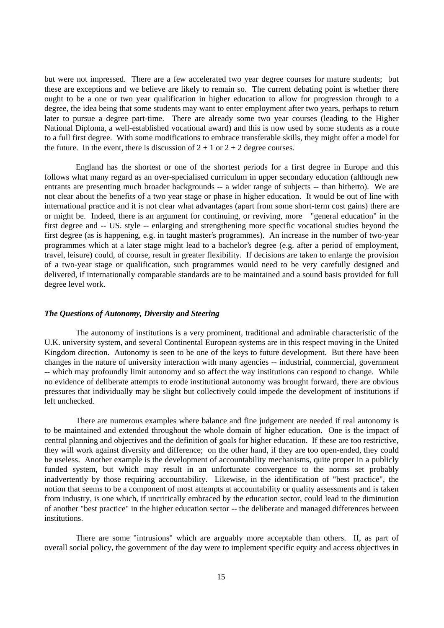but were not impressed. There are a few accelerated two year degree courses for mature students; but these are exceptions and we believe are likely to remain so. The current debating point is whether there ought to be a one or two year qualification in higher education to allow for progression through to a degree, the idea being that some students may want to enter employment after two years, perhaps to return later to pursue a degree part-time. There are already some two year courses (leading to the Higher National Diploma, a well-established vocational award) and this is now used by some students as a route to a full first degree. With some modifications to embrace transferable skills, they might offer a model for the future. In the event, there is discussion of  $2 + 1$  or  $2 + 2$  degree courses.

England has the shortest or one of the shortest periods for a first degree in Europe and this follows what many regard as an over-specialised curriculum in upper secondary education (although new entrants are presenting much broader backgrounds -- a wider range of subjects -- than hitherto). We are not clear about the benefits of a two year stage or phase in higher education. It would be out of line with international practice and it is not clear what advantages (apart from some short-term cost gains) there are or might be. Indeed, there is an argument for continuing, or reviving, more "general education" in the first degree and -- US. style -- enlarging and strengthening more specific vocational studies beyond the first degree (as is happening, e.g. in taught master's programmes). An increase in the number of two-year programmes which at a later stage might lead to a bachelor's degree (e.g. after a period of employment, travel, leisure) could, of course, result in greater flexibility. If decisions are taken to enlarge the provision of a two-year stage or qualification, such programmes would need to be very carefully designed and delivered, if internationally comparable standards are to be maintained and a sound basis provided for full degree level work.

## *The Questions of Autonomy, Diversity and Steering*

The autonomy of institutions is a very prominent, traditional and admirable characteristic of the U.K. university system, and several Continental European systems are in this respect moving in the United Kingdom direction. Autonomy is seen to be one of the keys to future development. But there have been changes in the nature of university interaction with many agencies -- industrial, commercial, government -- which may profoundly limit autonomy and so affect the way institutions can respond to change. While no evidence of deliberate attempts to erode institutional autonomy was brought forward, there are obvious pressures that individually may be slight but collectively could impede the development of institutions if left unchecked.

There are numerous examples where balance and fine judgement are needed if real autonomy is to be maintained and extended throughout the whole domain of higher education. One is the impact of central planning and objectives and the definition of goals for higher education. If these are too restrictive, they will work against diversity and difference; on the other hand, if they are too open-ended, they could be useless. Another example is the development of accountability mechanisms, quite proper in a publicly funded system, but which may result in an unfortunate convergence to the norms set probably inadvertently by those requiring accountability. Likewise, in the identification of "best practice", the notion that seems to be a component of most attempts at accountability or quality assessments and is taken from industry, is one which, if uncritically embraced by the education sector, could lead to the diminution of another "best practice" in the higher education sector -- the deliberate and managed differences between institutions.

There are some "intrusions" which are arguably more acceptable than others. If, as part of overall social policy, the government of the day were to implement specific equity and access objectives in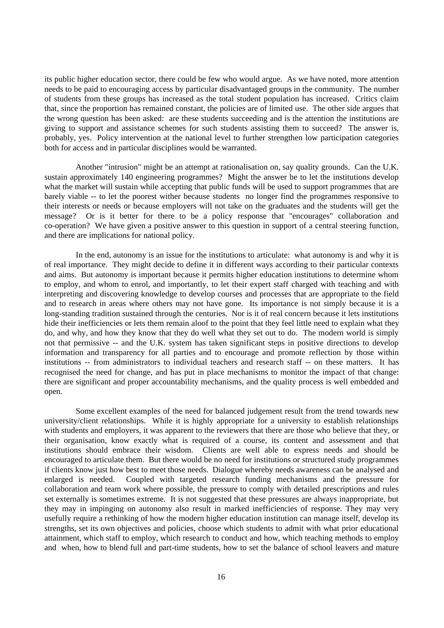its public higher education sector, there could be few who would argue. As we have noted, more attention needs to be paid to encouraging access by particular disadvantaged groups in the community. The number of students from these groups has increased as the total student population has increased. Critics claim that, since the proportion has remained constant, the policies are of limited use. The other side argues that the wrong question has been asked: are these students succeeding and is the attention the institutions are giving to support and assistance schemes for such students assisting them to succeed? The answer is, probably, yes. Policy intervention at the national level to further strengthen low participation categories both for access and in particular disciplines would be warranted.

Another "intrusion" might be an attempt at rationalisation on, say quality grounds. Can the U.K. sustain approximately 140 engineering programmes? Might the answer be to let the institutions develop what the market will sustain while accepting that public funds will be used to support programmes that are barely viable -- to let the poorest wither because students no longer find the programmes responsive to their interests or needs or because employers will not take on the graduates and the students will get the message? Or is it better for there to be a policy response that "encourages" collaboration and co-operation? We have given a positive answer to this question in support of a central steering function, and there are implications for national policy.

In the end, autonomy is an issue for the institutions to articulate: what autonomy is and why it is of real importance. They might decide to define it in different ways according to their particular contexts and aims. But autonomy is important because it permits higher education institutions to determine whom to employ, and whom to enrol, and importantly, to let their expert staff charged with teaching and with interpreting and discovering knowledge to develop courses and processes that are appropriate to the field and to research in areas where others may not have gone. Its importance is not simply because it is a long-standing tradition sustained through the centuries. Nor is it of real concern because it lets institutions hide their inefficiencies or lets them remain aloof to the point that they feel little need to explain what they do, and why, and how they know that they do well what they set out to do. The modern world is simply not that permissive -- and the U.K. system has taken significant steps in positive directions to develop information and transparency for all parties and to encourage and promote reflection by those within institutions -- from administrators to individual teachers and research staff -- on these matters. It has recognised the need for change, and has put in place mechanisms to monitor the impact of that change: there are significant and proper accountability mechanisms, and the quality process is well embedded and open.

Some excellent examples of the need for balanced judgement result from the trend towards new university/client relationships. While it is highly appropriate for a university to establish relationships with students and employers, it was apparent to the reviewers that there are those who believe that they, or their organisation, know exactly what is required of a course, its content and assessment and that institutions should embrace their wisdom. Clients are well able to express needs and should be encouraged to articulate them. But there would be no need for institutions or structured study programmes if clients know just how best to meet those needs. Dialogue whereby needs awareness can be analysed and enlarged is needed. Coupled with targeted research funding mechanisms and the pressure for collaboration and team work where possible, the pressure to comply with detailed prescriptions and rules set externally is sometimes extreme. It is not suggested that these pressures are always inappropriate, but they may in impinging on autonomy also result in marked inefficiencies of response. They may very usefully require a rethinking of how the modern higher education institution can manage itself, develop its strengths, set its own objectives and policies, choose which students to admit with what prior educational attainment, which staff to employ, which research to conduct and how, which teaching methods to employ and when, how to blend full and part-time students, how to set the balance of school leavers and mature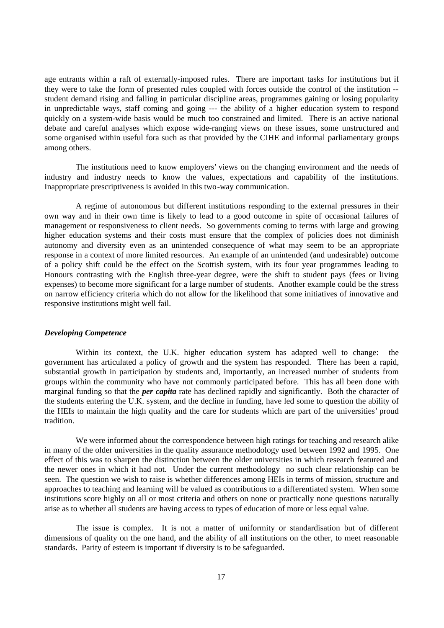age entrants within a raft of externally-imposed rules. There are important tasks for institutions but if they were to take the form of presented rules coupled with forces outside the control of the institution - student demand rising and falling in particular discipline areas, programmes gaining or losing popularity in unpredictable ways, staff coming and going --- the ability of a higher education system to respond quickly on a system-wide basis would be much too constrained and limited. There is an active national debate and careful analyses which expose wide-ranging views on these issues, some unstructured and some organised within useful fora such as that provided by the CIHE and informal parliamentary groups among others.

The institutions need to know employers' views on the changing environment and the needs of industry and industry needs to know the values, expectations and capability of the institutions. Inappropriate prescriptiveness is avoided in this two-way communication.

A regime of autonomous but different institutions responding to the external pressures in their own way and in their own time is likely to lead to a good outcome in spite of occasional failures of management or responsiveness to client needs. So governments coming to terms with large and growing higher education systems and their costs must ensure that the complex of policies does not diminish autonomy and diversity even as an unintended consequence of what may seem to be an appropriate response in a context of more limited resources. An example of an unintended (and undesirable) outcome of a policy shift could be the effect on the Scottish system, with its four year programmes leading to Honours contrasting with the English three-year degree, were the shift to student pays (fees or living expenses) to become more significant for a large number of students. Another example could be the stress on narrow efficiency criteria which do not allow for the likelihood that some initiatives of innovative and responsive institutions might well fail.

#### *Developing Competence*

Within its context, the U.K. higher education system has adapted well to change: the government has articulated a policy of growth and the system has responded. There has been a rapid, substantial growth in participation by students and, importantly, an increased number of students from groups within the community who have not commonly participated before. This has all been done with marginal funding so that the *per capita* rate has declined rapidly and significantly. Both the character of the students entering the U.K. system, and the decline in funding, have led some to question the ability of the HEIs to maintain the high quality and the care for students which are part of the universities' proud tradition.

We were informed about the correspondence between high ratings for teaching and research alike in many of the older universities in the quality assurance methodology used between 1992 and 1995. One effect of this was to sharpen the distinction between the older universities in which research featured and the newer ones in which it had not. Under the current methodology no such clear relationship can be seen. The question we wish to raise is whether differences among HEIs in terms of mission, structure and approaches to teaching and learning will be valued as contributions to a differentiated system. When some institutions score highly on all or most criteria and others on none or practically none questions naturally arise as to whether all students are having access to types of education of more or less equal value.

The issue is complex. It is not a matter of uniformity or standardisation but of different dimensions of quality on the one hand, and the ability of all institutions on the other, to meet reasonable standards. Parity of esteem is important if diversity is to be safeguarded.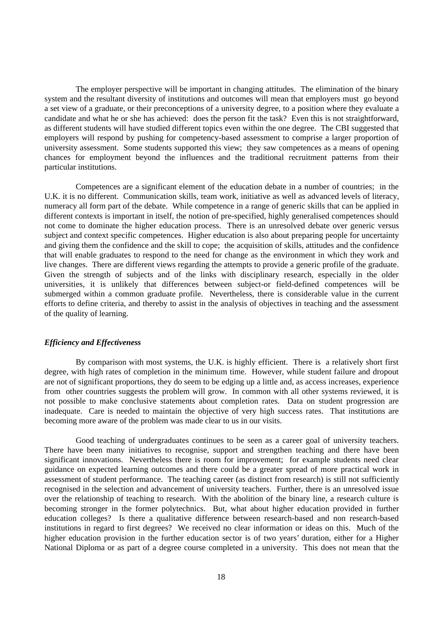The employer perspective will be important in changing attitudes. The elimination of the binary system and the resultant diversity of institutions and outcomes will mean that employers must go beyond a set view of a graduate, or their preconceptions of a university degree, to a position where they evaluate a candidate and what he or she has achieved: does the person fit the task? Even this is not straightforward, as different students will have studied different topics even within the one degree. The CBI suggested that employers will respond by pushing for competency-based assessment to comprise a larger proportion of university assessment. Some students supported this view; they saw competences as a means of opening chances for employment beyond the influences and the traditional recruitment patterns from their particular institutions.

Competences are a significant element of the education debate in a number of countries; in the U.K. it is no different. Communication skills, team work, initiative as well as advanced levels of literacy, numeracy all form part of the debate. While competence in a range of generic skills that can be applied in different contexts is important in itself, the notion of pre-specified, highly generalised competences should not come to dominate the higher education process. There is an unresolved debate over generic versus subject and context specific competences. Higher education is also about preparing people for uncertainty and giving them the confidence and the skill to cope; the acquisition of skills, attitudes and the confidence that will enable graduates to respond to the need for change as the environment in which they work and live changes. There are different views regarding the attempts to provide a generic profile of the graduate. Given the strength of subjects and of the links with disciplinary research, especially in the older universities, it is unlikely that differences between subject-or field-defined competences will be submerged within a common graduate profile. Nevertheless, there is considerable value in the current efforts to define criteria, and thereby to assist in the analysis of objectives in teaching and the assessment of the quality of learning.

## *Efficiency and Effectiveness*

By comparison with most systems, the U.K. is highly efficient. There is a relatively short first degree, with high rates of completion in the minimum time. However, while student failure and dropout are not of significant proportions, they do seem to be edging up a little and, as access increases, experience from other countries suggests the problem will grow. In common with all other systems reviewed, it is not possible to make conclusive statements about completion rates. Data on student progression are inadequate. Care is needed to maintain the objective of very high success rates. That institutions are becoming more aware of the problem was made clear to us in our visits.

Good teaching of undergraduates continues to be seen as a career goal of university teachers. There have been many initiatives to recognise, support and strengthen teaching and there have been significant innovations. Nevertheless there is room for improvement; for example students need clear guidance on expected learning outcomes and there could be a greater spread of more practical work in assessment of student performance. The teaching career (as distinct from research) is still not sufficiently recognised in the selection and advancement of university teachers. Further, there is an unresolved issue over the relationship of teaching to research. With the abolition of the binary line, a research culture is becoming stronger in the former polytechnics. But, what about higher education provided in further education colleges? Is there a qualitative difference between research-based and non research-based institutions in regard to first degrees? We received no clear information or ideas on this. Much of the higher education provision in the further education sector is of two years' duration, either for a Higher National Diploma or as part of a degree course completed in a university. This does not mean that the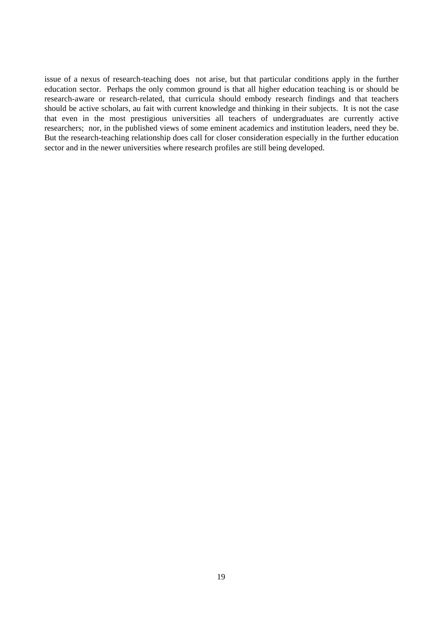issue of a nexus of research-teaching does not arise, but that particular conditions apply in the further education sector. Perhaps the only common ground is that all higher education teaching is or should be research-aware or research-related, that curricula should embody research findings and that teachers should be active scholars, au fait with current knowledge and thinking in their subjects. It is not the case that even in the most prestigious universities all teachers of undergraduates are currently active researchers; nor, in the published views of some eminent academics and institution leaders, need they be. But the research-teaching relationship does call for closer consideration especially in the further education sector and in the newer universities where research profiles are still being developed.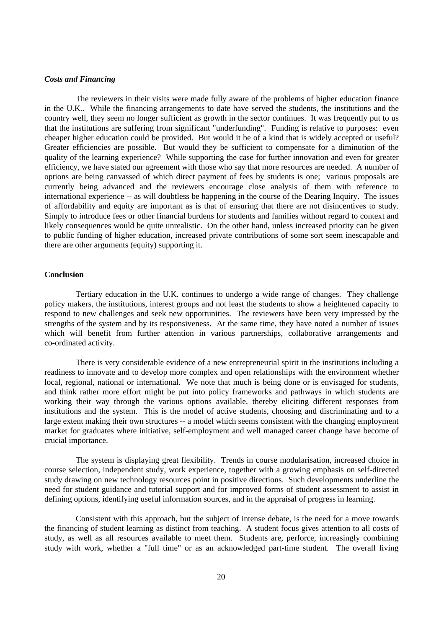## *Costs and Financing*

The reviewers in their visits were made fully aware of the problems of higher education finance in the U.K.. While the financing arrangements to date have served the students, the institutions and the country well, they seem no longer sufficient as growth in the sector continues. It was frequently put to us that the institutions are suffering from significant "underfunding". Funding is relative to purposes: even cheaper higher education could be provided. But would it be of a kind that is widely accepted or useful? Greater efficiencies are possible. But would they be sufficient to compensate for a diminution of the quality of the learning experience? While supporting the case for further innovation and even for greater efficiency, we have stated our agreement with those who say that more resources are needed. A number of options are being canvassed of which direct payment of fees by students is one; various proposals are currently being advanced and the reviewers encourage close analysis of them with reference to international experience -- as will doubtless be happening in the course of the Dearing Inquiry. The issues of affordability and equity are important as is that of ensuring that there are not disincentives to study. Simply to introduce fees or other financial burdens for students and families without regard to context and likely consequences would be quite unrealistic. On the other hand, unless increased priority can be given to public funding of higher education, increased private contributions of some sort seem inescapable and there are other arguments (equity) supporting it.

## **Conclusion**

Tertiary education in the U.K. continues to undergo a wide range of changes. They challenge policy makers, the institutions, interest groups and not least the students to show a heightened capacity to respond to new challenges and seek new opportunities. The reviewers have been very impressed by the strengths of the system and by its responsiveness. At the same time, they have noted a number of issues which will benefit from further attention in various partnerships, collaborative arrangements and co-ordinated activity.

There is very considerable evidence of a new entrepreneurial spirit in the institutions including a readiness to innovate and to develop more complex and open relationships with the environment whether local, regional, national or international. We note that much is being done or is envisaged for students, and think rather more effort might be put into policy frameworks and pathways in which students are working their way through the various options available, thereby eliciting different responses from institutions and the system. This is the model of active students, choosing and discriminating and to a large extent making their own structures -- a model which seems consistent with the changing employment market for graduates where initiative, self-employment and well managed career change have become of crucial importance.

The system is displaying great flexibility. Trends in course modularisation, increased choice in course selection, independent study, work experience, together with a growing emphasis on self-directed study drawing on new technology resources point in positive directions. Such developments underline the need for student guidance and tutorial support and for improved forms of student assessment to assist in defining options, identifying useful information sources, and in the appraisal of progress in learning.

Consistent with this approach, but the subject of intense debate, is the need for a move towards the financing of student learning as distinct from teaching. A student focus gives attention to all costs of study, as well as all resources available to meet them. Students are, perforce, increasingly combining study with work, whether a "full time" or as an acknowledged part-time student. The overall living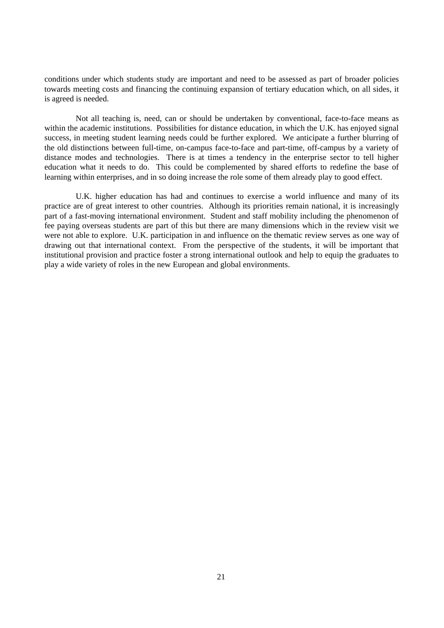conditions under which students study are important and need to be assessed as part of broader policies towards meeting costs and financing the continuing expansion of tertiary education which, on all sides, it is agreed is needed.

Not all teaching is, need, can or should be undertaken by conventional, face-to-face means as within the academic institutions. Possibilities for distance education, in which the U.K. has enjoyed signal success, in meeting student learning needs could be further explored. We anticipate a further blurring of the old distinctions between full-time, on-campus face-to-face and part-time, off-campus by a variety of distance modes and technologies. There is at times a tendency in the enterprise sector to tell higher education what it needs to do. This could be complemented by shared efforts to redefine the base of learning within enterprises, and in so doing increase the role some of them already play to good effect.

U.K. higher education has had and continues to exercise a world influence and many of its practice are of great interest to other countries. Although its priorities remain national, it is increasingly part of a fast-moving international environment. Student and staff mobility including the phenomenon of fee paying overseas students are part of this but there are many dimensions which in the review visit we were not able to explore. U.K. participation in and influence on the thematic review serves as one way of drawing out that international context. From the perspective of the students, it will be important that institutional provision and practice foster a strong international outlook and help to equip the graduates to play a wide variety of roles in the new European and global environments.